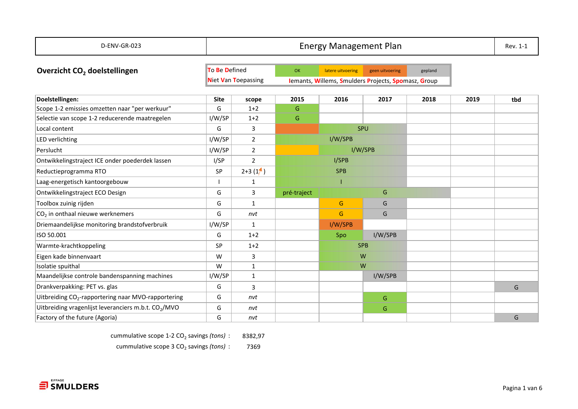| D-ENV-GR-023                                                     |             | <b>Energy Management Plan</b><br>Rev. 1-1                                         |             |                   |                 |         |      |     |  |  |  |
|------------------------------------------------------------------|-------------|-----------------------------------------------------------------------------------|-------------|-------------------|-----------------|---------|------|-----|--|--|--|
| Overzicht CO <sub>2</sub> doelstellingen                         |             | To Be Defined                                                                     | OK          | latere uitvoering | geen uitvoering | gepland |      |     |  |  |  |
|                                                                  |             | <b>Niet Van Toepassing</b><br>Iemants, Willems, Smulders Projects, Spomasz, Group |             |                   |                 |         |      |     |  |  |  |
| Doelstellingen:                                                  | <b>Site</b> | scope                                                                             | 2015        | 2016              | 2017            | 2018    | 2019 | tbd |  |  |  |
| Scope 1-2 emissies omzetten naar "per werkuur"                   | G           | $1+2$                                                                             | G           |                   |                 |         |      |     |  |  |  |
| Selectie van scope 1-2 reducerende maatregelen                   | I/W/SP      | $1+2$                                                                             | G           |                   |                 |         |      |     |  |  |  |
| Local content                                                    | G           | 3                                                                                 |             |                   | SPU             |         |      |     |  |  |  |
| LED verlichting                                                  | I/W/SP      | $\overline{2}$                                                                    |             | I/W/SPB           |                 |         |      |     |  |  |  |
| Perslucht                                                        | I/W/SP      | $\overline{2}$                                                                    |             |                   | I/W/SPB         |         |      |     |  |  |  |
| Ontwikkelingstraject ICE onder poederdek lassen                  | I/SP        | $\overline{2}$                                                                    |             | I/SPB             |                 |         |      |     |  |  |  |
| Reductieprogramma RTO                                            | SP          | $2+3(1)$                                                                          |             | <b>SPB</b>        |                 |         |      |     |  |  |  |
| Laag-energetisch kantoorgebouw                                   |             | 1                                                                                 |             |                   |                 |         |      |     |  |  |  |
| Ontwikkelingstraject ECO Design                                  | G           | 3                                                                                 | pré-traject |                   | G               |         |      |     |  |  |  |
| Toolbox zuinig rijden                                            | G           | 1                                                                                 |             | G                 | G               |         |      |     |  |  |  |
| CO <sub>2</sub> in onthaal nieuwe werknemers                     | G           | nvt                                                                               |             | G                 | G               |         |      |     |  |  |  |
| Driemaandelijkse monitoring brandstofverbruik                    | I/W/SP      | 1                                                                                 |             | I/W/SPB           |                 |         |      |     |  |  |  |
| ISO 50.001                                                       | G           | $1+2$                                                                             |             | Spo               | I/W/SPB         |         |      |     |  |  |  |
| Warmte-krachtkoppeling                                           | <b>SP</b>   | $1+2$                                                                             |             |                   | <b>SPB</b>      |         |      |     |  |  |  |
| Eigen kade binnenvaart                                           | W           | 3                                                                                 |             |                   | W               |         |      |     |  |  |  |
| Isolatie spuithal                                                | W           | $\mathbf{1}$                                                                      |             |                   | W               |         |      |     |  |  |  |
| Maandelijkse controle bandenspanning machines                    | I/W/SP      | $\mathbf{1}$                                                                      |             |                   | I/W/SPB         |         |      |     |  |  |  |
| Drankverpakking: PET vs. glas                                    | G           | 3                                                                                 |             |                   |                 |         |      | G   |  |  |  |
| Uitbreiding CO <sub>2</sub> -rapportering naar MVO-rapportering  | G           | nvt                                                                               |             |                   | G               |         |      |     |  |  |  |
| Uitbreiding vragenlijst leveranciers m.b.t. CO <sub>2</sub> /MVO | G           | nvt                                                                               |             |                   | G               |         |      |     |  |  |  |
| Factory of the future (Agoria)                                   | G           | nvt                                                                               |             |                   |                 |         |      | G   |  |  |  |

cummulative scope 1-2 CO<sub>2</sub> savings (tons) : 8382,97

cummulative scope 3 CO<sub>2</sub> savings (tons) : 7369

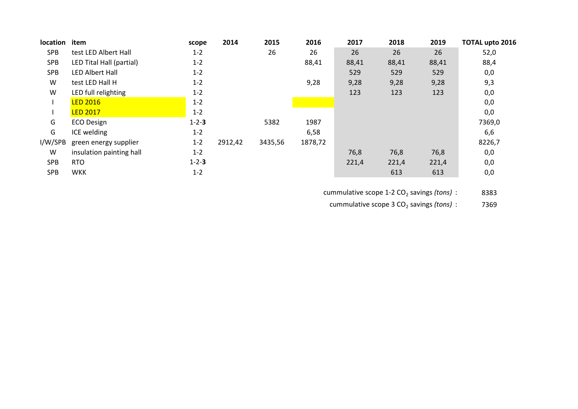| location   | item                     | scope       | 2014    | 2015    | 2016    | 2017  | 2018  | 2019  | <b>TOTAL upto 2016</b> |
|------------|--------------------------|-------------|---------|---------|---------|-------|-------|-------|------------------------|
| <b>SPB</b> | test LED Albert Hall     | $1 - 2$     |         | 26      | 26      | 26    | 26    | 26    | 52,0                   |
| <b>SPB</b> | LED Tital Hall (partial) | $1 - 2$     |         |         | 88,41   | 88,41 | 88,41 | 88,41 | 88,4                   |
| <b>SPB</b> | <b>LED Albert Hall</b>   | $1 - 2$     |         |         |         | 529   | 529   | 529   | 0,0                    |
| W          | test LED Hall H          | $1 - 2$     |         |         | 9,28    | 9,28  | 9,28  | 9,28  | 9,3                    |
| W          | LED full relighting      | $1 - 2$     |         |         |         | 123   | 123   | 123   | 0,0                    |
|            | <b>LED 2016</b>          | $1 - 2$     |         |         |         |       |       |       | 0,0                    |
|            | <b>LED 2017</b>          | $1 - 2$     |         |         |         |       |       |       | 0,0                    |
| G          | <b>ECO Design</b>        | $1 - 2 - 3$ |         | 5382    | 1987    |       |       |       | 7369,0                 |
| G          | ICE welding              | $1 - 2$     |         |         | 6,58    |       |       |       | 6,6                    |
| I/W/SPB    | green energy supplier    | $1 - 2$     | 2912,42 | 3435,56 | 1878,72 |       |       |       | 8226,7                 |
| W          | insulation painting hall | $1 - 2$     |         |         |         | 76,8  | 76,8  | 76,8  | 0,0                    |
| <b>SPB</b> | <b>RTO</b>               | $1 - 2 - 3$ |         |         |         | 221,4 | 221,4 | 221,4 | 0,0                    |
| <b>SPB</b> | <b>WKK</b>               | $1 - 2$     |         |         |         |       | 613   | 613   | 0,0                    |

cummulative scope 1-2 CO<sub>2</sub> savings (tons) : 8383

cummulative scope 3 CO<sub>2</sub> savings (tons) : 7369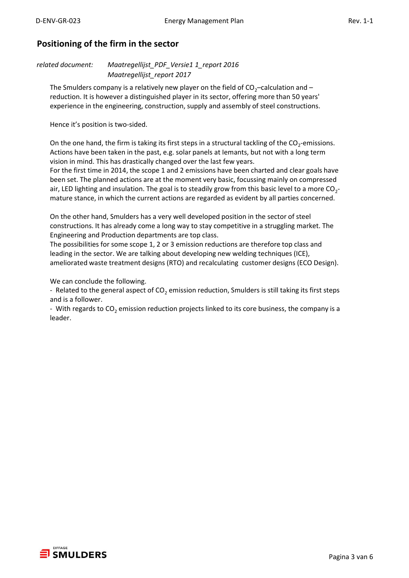## **Positioning of the firm in the sector**

*related document: Maatregellijst\_PDF\_Versie1 1\_report 2016 Maatregellijst\_report 2017*

The Smulders company is a relatively new player on the field of  $CO<sub>2</sub>$ –calculation and – reduction. It is however a distinguished player in its sector, offering more than 50 years' experience in the engineering, construction, supply and assembly of steel constructions.

Hence it's position is two-sided.

On the one hand, the firm is taking its first steps in a structural tackling of the  $CO_2$ -emissions. Actions have been taken in the past, e.g. solar panels at Iemants, but not with a long term vision in mind. This has drastically changed over the last few years.

For the first time in 2014, the scope 1 and 2 emissions have been charted and clear goals have been set. The planned actions are at the moment very basic, focussing mainly on compressed air, LED lighting and insulation. The goal is to steadily grow from this basic level to a more  $CO_{2}$ mature stance, in which the current actions are regarded as evident by all parties concerned.

On the other hand, Smulders has a very well developed position in the sector of steel constructions. It has already come a long way to stay competitive in a struggling market. The Engineering and Production departments are top class.

The possibilities for some scope 1, 2 or 3 emission reductions are therefore top class and leading in the sector. We are talking about developing new welding techniques (ICE), ameliorated waste treatment designs (RTO) and recalculating customer designs (ECO Design).

We can conclude the following.

- Related to the general aspect of  $CO<sub>2</sub>$  emission reduction, Smulders is still taking its first steps and is a follower.

- With regards to  $CO<sub>2</sub>$  emission reduction projects linked to its core business, the company is a leader.

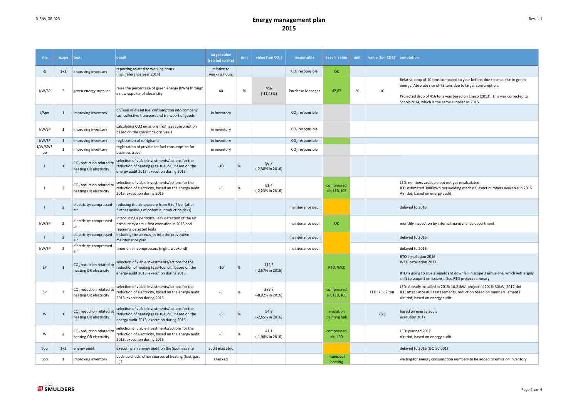## D-ENV-GR-023 **Energy management plan 2015**

| site           | scope          | topic                                                          | detail                                                                                                                                           | target value<br>(related to site) | unit          | value (ton CO <sub>2</sub> ) | responsible                 | result value                | unit' | value (ton CO2)' annotation |                                                                                                                                                                                                                                                                                |
|----------------|----------------|----------------------------------------------------------------|--------------------------------------------------------------------------------------------------------------------------------------------------|-----------------------------------|---------------|------------------------------|-----------------------------|-----------------------------|-------|-----------------------------|--------------------------------------------------------------------------------------------------------------------------------------------------------------------------------------------------------------------------------------------------------------------------------|
| G              | $1+2$          | improving inventory                                            | reporting related to working hours<br>(incl. reference year 2014)                                                                                | relative to<br>working hours      |               |                              | $CO2$ responsible           | OK                          |       |                             |                                                                                                                                                                                                                                                                                |
| I/W/SP         | $\overline{2}$ | green energy supplier                                          | raise the percentage of green energy (kWh) through<br>a new supplier of electricity                                                              | 40                                | %             | 416<br>$(-11, 43%)$          | Purchase Manager            | 42,67                       | %     | 10                          | Relative drop of 10 tons compared to year before, due to small rise in green<br>energy. Absolute rise of 75 tons due to larger consumption.<br>Projected drop of 416 tons was based on Eneco (2013). This was corrected to<br>Scholt 2014, which is the same supplier as 2015. |
| I/Spo          | $\mathbf{1}$   | improving inventory                                            | division of diesel fuel consumption into company<br>car, collective transport and transport of goods                                             | in inventory                      |               |                              | $CO2$ responsible           |                             |       |                             |                                                                                                                                                                                                                                                                                |
| I/W/SP         | $\mathbf{1}$   | improving inventory                                            | calculating CO2 emssions from gas consumption<br>based on the correct caloric value                                                              | in inventory                      |               |                              | CO <sub>2</sub> responsible |                             |       |                             |                                                                                                                                                                                                                                                                                |
| I/W/SP         | $\mathbf{1}$   | improving inventory                                            | registration of refrigirants                                                                                                                     | in inventory                      |               |                              | $CO2$ responsible           |                             |       |                             |                                                                                                                                                                                                                                                                                |
| I/W/SP/S<br>po | $\mathbf{1}$   | improving inventory                                            | registration of private car fuel consumption for<br>business travel                                                                              | in inventory                      |               |                              | $CO2$ responsible           |                             |       |                             |                                                                                                                                                                                                                                                                                |
|                | $\mathbf{1}$   | CO <sub>2</sub> reduction related to<br>heating OR electricity | selection of viable investments/actions for the<br>reduction of heating (gas+fuel oil), based on the<br>energy audit 2015, execution during 2016 | $-10$                             | $\frac{9}{6}$ | 86,7<br>(-2,38% in 2016)     |                             |                             |       |                             |                                                                                                                                                                                                                                                                                |
|                | $\overline{2}$ | $CO2$ reduction related to<br>heating OR electricity           | selection of viable investments/actions for the<br>reduction of electricity, based on the energy audit<br>2015, execution during 2016            | $-5$                              | $\frac{9}{6}$ | 81,4<br>(-2,23% in 2016)     |                             | compressed<br>air, LED, ICE |       |                             | LED: numbers available but not yet recalculated<br>ICE: estimated 3000kWh per welding machine, exact numbers available in 2016<br>Air: tbd, based on energy audit                                                                                                              |
|                | $\overline{2}$ | electricity: compressed<br>air                                 | reducing the air pressure from 9 to 7 bar (after<br>further analysis of potential production risks)                                              |                                   |               |                              | maintenance dep.            |                             |       |                             | delayed to 2016                                                                                                                                                                                                                                                                |
| I/W/SP         | $\overline{2}$ | electricity: compressed<br>lair                                | introducing a periodical leak detection of the air<br>pressure system + first execution in 2015 and<br>repairing detected leaks                  |                                   |               |                              | maintenance dep.            | OK                          |       |                             | monthly inspection by internal maintenance department                                                                                                                                                                                                                          |
|                | $\overline{2}$ | electricity: compressed<br>air                                 | including the air nozzles into the preventive<br>maintenance plan                                                                                |                                   |               |                              | maintenance dep.            |                             |       |                             | delayed to 2016                                                                                                                                                                                                                                                                |
| I/W/SP         | $\overline{2}$ | electricity: compressed<br>air                                 | timer on air compressors (night, weekend)                                                                                                        |                                   |               |                              | maintenance dep.            |                             |       |                             | delayed to 2016                                                                                                                                                                                                                                                                |
| SP             | $\overline{1}$ | CO <sub>2</sub> reduction related to<br>heating OR electricity | selection of viable investments/actions for the<br>reduction of heating (gas+fuel oil), based on the<br>energy audit 2015, execution during 2016 | $-10$                             | $\frac{9}{6}$ | 112,3<br>$(-2,57\%$ in 2016) |                             | RTO, WKK                    |       |                             | RTO installation 2016<br>WKK installation 2017<br>RTO is going to give a significant downfall in scope 3 emissions, which will largely<br>shift to scope 1 emissions See RTO project summary.                                                                                  |
| SP             | $\overline{2}$ | CO <sub>2</sub> reduction related to<br>heating OR electricity | selection of viable investments/actions for the<br>reduction of electricity, based on the energy audit<br>2015, execution during 2016            | $-5$                              | %             | 389,8<br>(-8,92% in 2016)    |                             | compressed<br>air, LED, ICE |       | LED: 78,82 ton              | LED: Already installed in 2015: 10,21kW, projected 2016: 30kW, 2017 tbd<br>ICE: after succesfull tests lemants, reduction based on numbers lemants<br>Air: tbd, based on energy audit                                                                                          |
| W              | 1              | CO <sub>2</sub> reduction related to<br>heating OR electricity | selection of viable investments/actions for the<br>reduction of heating (gas+fuel oil), based on the<br>energy audit 2015, execution during 2016 | $-5$                              | $\frac{9}{6}$ | 54,8<br>$(-2,65\%$ in 2016)  |                             | insulation<br>painting hall |       | 76,8                        | based on energy audit<br>execution 2017                                                                                                                                                                                                                                        |
| W              | $\overline{2}$ | CO <sub>2</sub> reduction related to<br>heating OR electricity | selection of viable investments/actions for the<br>reduction of electricity, based on the energy audit<br>2015, execution during 2016            | $-5$                              | %             | 41,1<br>$(-1,98\%$ in 2016)  |                             | compressed<br>air, LED      |       |                             | LED: planned 2017<br>Air: tbd, based on energy audit                                                                                                                                                                                                                           |
| Spo            | $1+2$          | energy audit                                                   | executing an energy audit on the Spomasz site                                                                                                    | audit executed                    |               |                              |                             |                             |       |                             | delayed to 2016 (ISO 50.001)                                                                                                                                                                                                                                                   |
| Spo            | 1              | improving inventory                                            | back-up check: other sources of heating (fuel, gas,<br>)?                                                                                        | checked                           |               |                              |                             | municipal<br>heating        |       |                             | waiting for energy consumption numbers to be added to emission inventory                                                                                                                                                                                                       |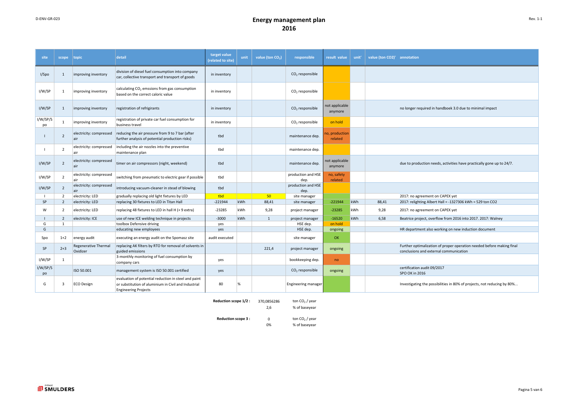## D-ENV-GR-023 **Energy management plan 2016**

| site           | scope                   | topic                                   | detail                                                                                                                                      | target value<br>(related to site) | unit | value (ton CO <sub>2</sub> ) | responsible                | result value              | unit' | value (ton CO2)' annotation |                                                                                                                 |
|----------------|-------------------------|-----------------------------------------|---------------------------------------------------------------------------------------------------------------------------------------------|-----------------------------------|------|------------------------------|----------------------------|---------------------------|-------|-----------------------------|-----------------------------------------------------------------------------------------------------------------|
| I/Spo          | 1                       | improving inventory                     | division of diesel fuel consumption into company<br>car, collective transport and transport of goods                                        | in inventory                      |      |                              | $CO2$ responsible          |                           |       |                             |                                                                                                                 |
| I/W/SP         | 1                       | improving inventory                     | calculating CO <sub>2</sub> emssions from gas consumption<br>based on the correct caloric value                                             | in inventory                      |      |                              | $CO2$ responsible          |                           |       |                             |                                                                                                                 |
| I/W/SP         | 1                       | improving inventory                     | registration of refrigirants                                                                                                                | in inventory                      |      |                              | $CO2$ responsible          | not applicable<br>anymore |       |                             | no longer required in handboek 3.0 due to minimal impact                                                        |
| I/W/SP/S<br>po | 1                       | improving inventory                     | registration of private car fuel consumption for<br>business travel                                                                         | in inventory                      |      |                              | $CO2$ responsible          | on hold                   |       |                             |                                                                                                                 |
|                | $\overline{2}$          | electricity: compressed                 | reducing the air pressure from 9 to 7 bar (after<br>further analysis of potential production risks)                                         | tbd                               |      |                              | maintenance dep.           | o, production<br>related  |       |                             |                                                                                                                 |
|                | $\overline{2}$          | electricity: compressed<br>air          | including the air nozzles into the preventive<br>maintenance plan                                                                           | tbd                               |      |                              | maintenance dep.           |                           |       |                             |                                                                                                                 |
| I/W/SP         | $\overline{2}$          | electricity: compressed<br>lair         | timer on air compressors (night, weekend)                                                                                                   | tbd                               |      |                              | maintenance dep.           | not applicable<br>anymore |       |                             | due to production needs, activities have practically gone up to 24/7.                                           |
| I/W/SP         | $\overline{2}$          | electricity: compressed<br>air          | switching from pneumatic to electric gear if possible                                                                                       | tbd                               |      |                              | production and HSE<br>dep. | no, safety<br>related     |       |                             |                                                                                                                 |
| I/W/SP         | $\overline{2}$          | electricity: compressed<br>air          | introducing vacuum-cleaner in stead of blowing                                                                                              | tbd                               |      |                              | production and HSE<br>dep. |                           |       |                             |                                                                                                                 |
|                | $\overline{2}$          | electricity: LED                        | gradually replacing old light fixtures by LED                                                                                               | tbd                               |      | $-50$                        | site manager               |                           |       |                             | 2017: no agreement on CAPEX yet                                                                                 |
| <b>SP</b>      | $\overline{2}$          | electricity: LED                        | replacing 30 fixtures to LED in Titan Hall                                                                                                  | $-221944$                         | kWh  | 88,41                        | site manager               | $-221944$                 | kWh   | 88,41                       | 2017: relighting Albert Hall = -1327306 kWh = 529 ton CO2                                                       |
| W              | $\overline{2}$          | electricity: LED                        | replacing 48 fixtures to LED in hall H (+ 9 extra)                                                                                          | $-23285$                          | kWh  | 9,28                         | project manager            | $-23285$                  | kWh   | 9,28                        | 2017: no agreement on CAPEX yet                                                                                 |
|                | $\overline{2}$          | electricity: ICE                        | use of new ICE welding technique in projects                                                                                                | $-3000$                           | kWh  | 1                            | project manager            | $-16520$                  | kWh   | 6,58                        | Beatrice project, overflow from 2016 into 2017. 2017: Walney                                                    |
| G              | 1                       |                                         | toolbox Defensive driving                                                                                                                   | yes                               |      |                              | HSE dep.                   | on hold                   |       |                             |                                                                                                                 |
| G              |                         |                                         | educating new employees                                                                                                                     | yes                               |      |                              | HSE dep.                   | ongoing                   |       |                             | HR department also working on new induction document                                                            |
| Spo            | $1+2$                   | energy audit                            | executing an energy audit on the Spomasz site                                                                                               | audit executed                    |      |                              | site manager               | OK                        |       |                             |                                                                                                                 |
| SP             | $2 + 3$                 | <b>Regenerative Thermal</b><br>Oxidizer | replacing AK filters by RTO for removal of solvents in<br>guided emissions                                                                  |                                   |      | 221,4                        | project manager            | ongoing                   |       |                             | Further optimalization of proper operation needed before making final<br>conclusions and external communication |
| I/W/SP         | 1                       |                                         | 3-monthly monitoring of fuel consumption by<br>company cars                                                                                 | yes                               |      |                              | bookkeeping dep.           | <sub>no</sub>             |       |                             |                                                                                                                 |
| I/W/SP/S<br>po |                         | ISO 50.001                              | management system is ISO 50.001 certified                                                                                                   | yes                               |      |                              | $CO2$ responsible          | ongoing                   |       |                             | certification audit 09/2017<br>SPO OK in 2016                                                                   |
| G              | $\overline{\mathbf{3}}$ | <b>ECO Design</b>                       | evaluation of potential reduction in steel and paint<br>or substitution of aluminium in Civil and Industrial<br><b>Engineering Projects</b> | 80                                | %    |                              | <b>Engineering manager</b> |                           |       |                             | Investigating the possibilities in 80% of projects, not reducing by 80%                                         |

| <b>Reduction scope 1/2 :</b> | 370,0856286 | ton $CO2$ / year |
|------------------------------|-------------|------------------|
|                              |             |                  |

ton  $CO<sub>2</sub>$  / year

2,6 % of baseyear

**Reduction scope 3 :**  $0$  to 0%

0% % of baseyear